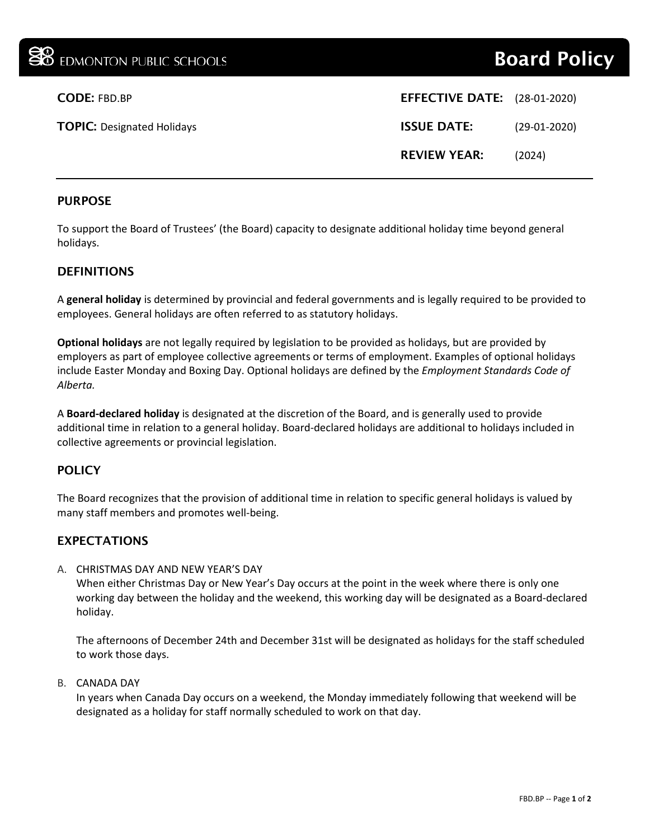| <b>CODE: FBD.BP</b>               | <b>EFFECTIVE DATE:</b> (28-01-2020) |                |
|-----------------------------------|-------------------------------------|----------------|
| <b>TOPIC: Designated Holidays</b> | <b>ISSUE DATE:</b>                  | $(29-01-2020)$ |
|                                   | <b>REVIEW YEAR:</b>                 | (2024)         |

## PURPOSE

To support the Board of Trustees' (the Board) capacity to designate additional holiday time beyond general holidays.

## DEFINITIONS

A **general holiday** is determined by provincial and federal governments and is legally required to be provided to employees. General holidays are often referred to as statutory holidays.

**Optional holidays** are not legally required by legislation to be provided as holidays, but are provided by employers as part of employee collective agreements or terms of employment. Examples of optional holidays include Easter Monday and Boxing Day. Optional holidays are defined by the *Employment Standards Code of Alberta.*

A **Board-declared holiday** is designated at the discretion of the Board, and is generally used to provide additional time in relation to a general holiday. Board-declared holidays are additional to holidays included in collective agreements or provincial legislation.

# **POLICY**

The Board recognizes that the provision of additional time in relation to specific general holidays is valued by many staff members and promotes well-being.

# EXPECTATIONS

#### A. CHRISTMAS DAY AND NEW YEAR'S DAY

When either Christmas Day or New Year's Day occurs at the point in the week where there is only one working day between the holiday and the weekend, this working day will be designated as a Board-declared holiday.

The afternoons of December 24th and December 31st will be designated as holidays for the staff scheduled to work those days.

#### B. CANADA DAY

In years when Canada Day occurs on a weekend, the Monday immediately following that weekend will be designated as a holiday for staff normally scheduled to work on that day.